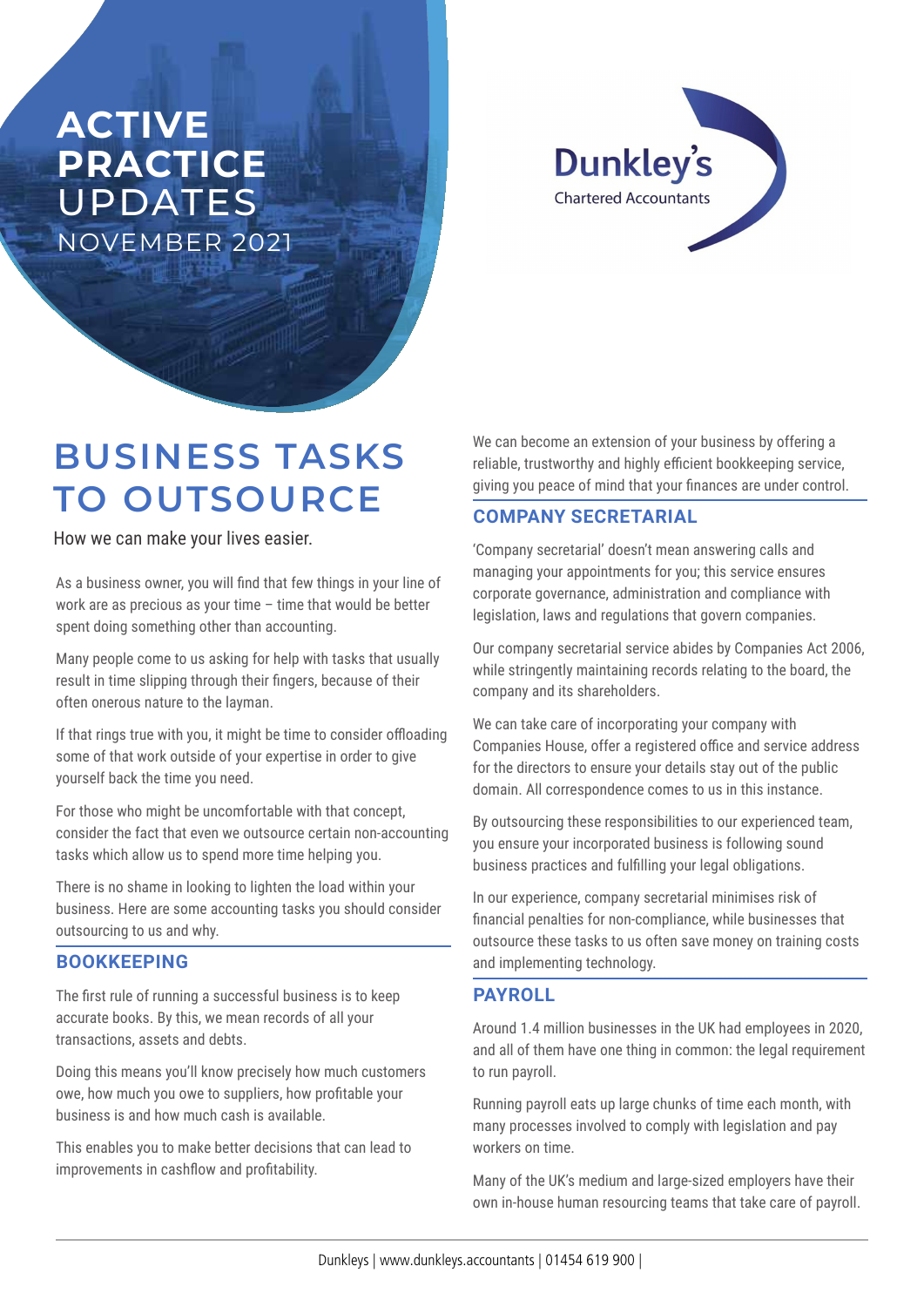# **ACTIVE PRACTICE**  UPDATES NOVEMBER 2021

**Dunkley's Chartered Accountants** 

# **BUSINESS TASKS TO OUTSOURCE**

How we can make your lives easier.

As a business owner, you will find that few things in your line of work are as precious as your time – time that would be better spent doing something other than accounting.

Many people come to us asking for help with tasks that usually result in time slipping through their fingers, because of their often onerous nature to the layman.

If that rings true with you, it might be time to consider offloading some of that work outside of your expertise in order to give yourself back the time you need.

For those who might be uncomfortable with that concept, consider the fact that even we outsource certain non-accounting tasks which allow us to spend more time helping you.

There is no shame in looking to lighten the load within your business. Here are some accounting tasks you should consider outsourcing to us and why.

## **BOOKKEEPING**

The first rule of running a successful business is to keep accurate books. By this, we mean records of all your transactions, assets and debts.

Doing this means you'll know precisely how much customers owe, how much you owe to suppliers, how profitable your business is and how much cash is available.

This enables you to make better decisions that can lead to improvements in cashflow and profitability.

We can become an extension of your business by offering a reliable, trustworthy and highly efficient bookkeeping service, giving you peace of mind that your finances are under control.

# **COMPANY SECRETARIAL**

'Company secretarial' doesn't mean answering calls and managing your appointments for you; this service ensures corporate governance, administration and compliance with legislation, laws and regulations that govern companies.

Our company secretarial service abides by Companies Act 2006, while stringently maintaining records relating to the board, the company and its shareholders.

We can take care of incorporating your company with Companies House, offer a registered office and service address for the directors to ensure your details stay out of the public domain. All correspondence comes to us in this instance.

By outsourcing these responsibilities to our experienced team, you ensure your incorporated business is following sound business practices and fulfilling your legal obligations.

In our experience, company secretarial minimises risk of financial penalties for non-compliance, while businesses that outsource these tasks to us often save money on training costs and implementing technology.

## **PAYROLL**

Around 1.4 million businesses in the UK had employees in 2020, and all of them have one thing in common: the legal requirement to run payroll.

Running payroll eats up large chunks of time each month, with many processes involved to comply with legislation and pay workers on time.

Many of the UK's medium and large-sized employers have their own in-house human resourcing teams that take care of payroll.